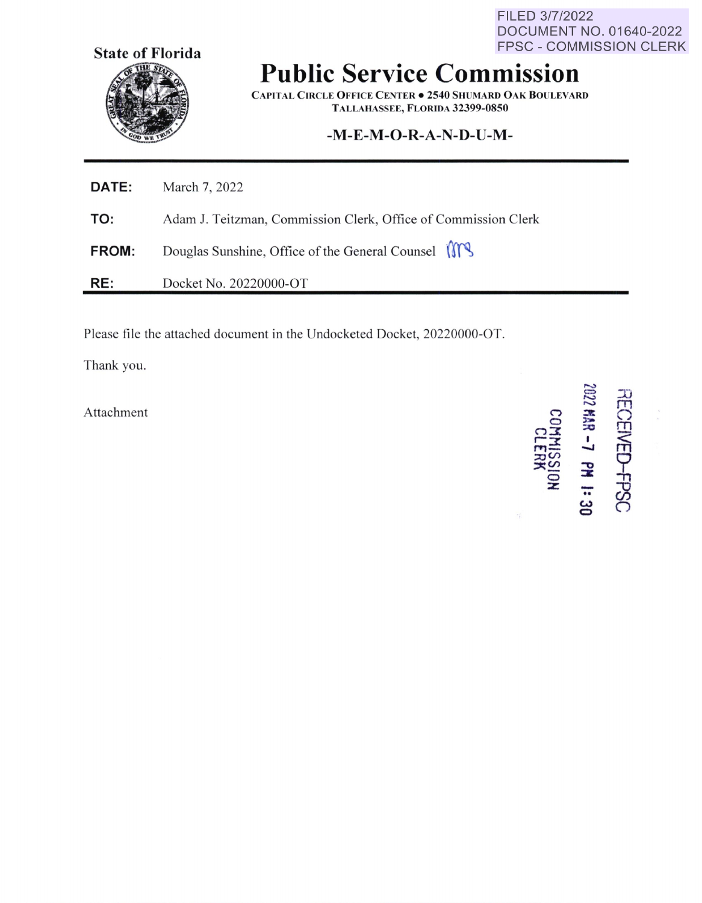FILED 3/7/2022 DOCUMENT NO. 01640-2022 FPSC - COMMISSION CLERK



## **Public Service Commission**

**C APITAL CIRCLE OFFICE C ENTER • 2540 SHUMARD O AK BOULEVARD T ALLAHASSEE, FLORIDA 32399-0850** 

## **-M-E-M-O-R-A-N-D-U-M-**

| <b>DATE:</b> | March 7, 2022                                                  |
|--------------|----------------------------------------------------------------|
| TO:          | Adam J. Teitzman, Commission Clerk, Office of Commission Clerk |
| <b>FROM:</b> | Douglas Sunshine, Office of the General Counsel                |
| RE:          | Docket No. 20220000-OT                                         |

Please file the attached document in the Undocketed Docket, 20220000-OT.

Thank you.

**Attachment** 

**0**   $n\bar{x}$ **r-3: r'Yl-**  $\approx$ ~~ **0 :z:**   $2002$ **3**  > **::::c**  I **-J PM 1:30 HE** 0 m ~ <u>ግ</u><br>ት დ  $\subset$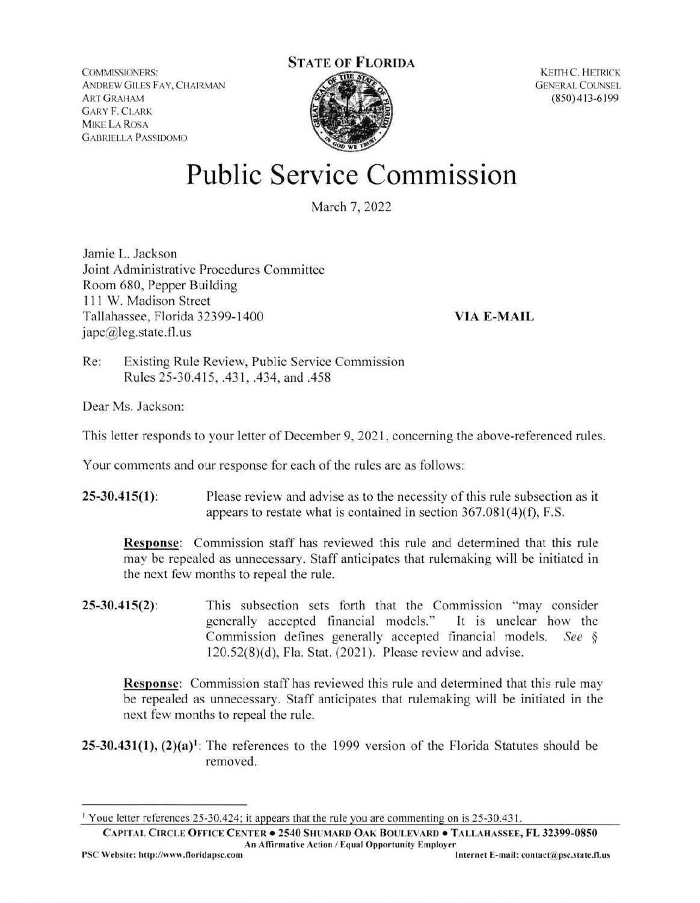COMMlSSIONERS: ANDREW GILES FAY, CHAIRMAN ART GRAHAM GARY F. CLARK **MIKE LA ROSA** GABRIELLA PASSIOOMO

## **STATE OF FLORIDA**



KEITH C. HETRICK **GENERAL COUNSEL** (850) 4 13-6 199

## **Public Service Commission**

March 7, 2022

Jamie L. Jackson Joint Administrative Procedures Committee Room 680, Pepper Building 111 W. Madison Street Tallahassee, Florida 32399-1400 japc@leg.state.fl.us

**VIA E-MAIL** 

Re: Existing Rule Review, Public Service Commission Rules 25-30.415, .431 , .434, and .458

Dear Ms. Jackson:

This letter responds to your letter of December 9, 2021 , concerning the above-referenced rules.

Your comments and our response for each of the rules are as follows:

**25-30.415(1):** Please review and advise as to the necessity of this rule subsection as it appears to restate what is contained in section  $367.081(4)(f)$ , F.S.

**Response:** Commission staff has reviewed this rule and determined that this rule may be repealed as unnecessary. Staff anticipates that rulemaking will be initiated in the next few months to repeal the rule.

**25-30.415(2):** This subsection sets forth that the Commission "may consider generally accepted financial models." It is unclear how the Commission defines generally accepted financial models. *See* §  $120.52(8)(d)$ , Fla. Stat. (2021). Please review and advise.

**Response:** Commission staff has reviewed this rule and determined that this rule may be repealed as unnecessary. Staff anticipates that rulemaking will be initiated in the next few months to repeal the rule.

 $25-30.431(1)$ ,  $(2)(a)^1$ : The references to the 1999 version of the Florida Statutes should be removed.

**CAPITAL C IRCLE OFFICE CENTER • 2540 SHUMARD OAK BOULEVARD• TALLAHASSEE, FL 32399-0850**  An Affirmative Acrion / Equal Opportunity Employer

<sup>1</sup>Youe letter references 25-30.424; it appears that the rule you are commenting on is 25-30.431.